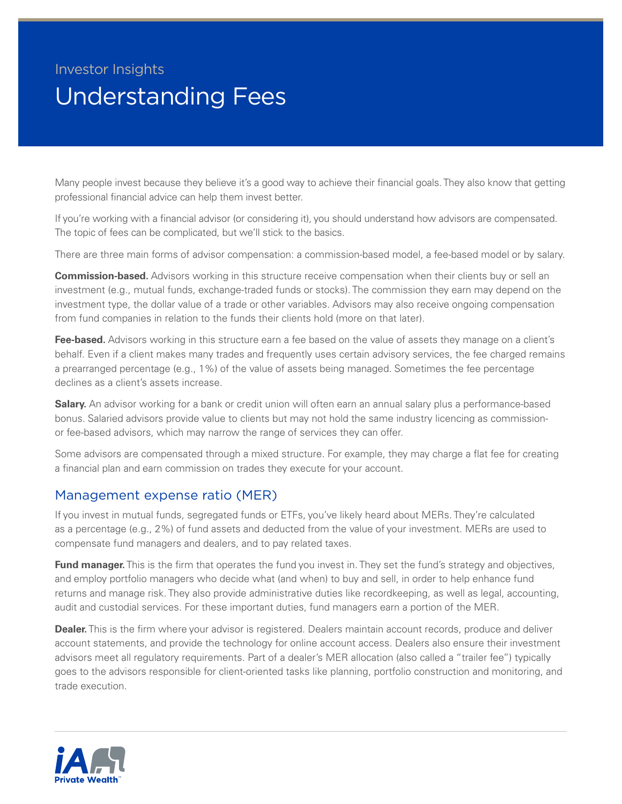## Investor Insights Understanding Fees

Many people invest because they believe it's a good way to achieve their financial goals. They also know that getting professional financial advice can help them invest better.

If you're working with a financial advisor (or considering it), you should understand how advisors are compensated. The topic of fees can be complicated, but we'll stick to the basics.

There are three main forms of advisor compensation: a commission-based model, a fee-based model or by salary.

**Commission-based.** Advisors working in this structure receive compensation when their clients buy or sell an investment (e.g., mutual funds, exchange-traded funds or stocks). The commission they earn may depend on the investment type, the dollar value of a trade or other variables. Advisors may also receive ongoing compensation from fund companies in relation to the funds their clients hold (more on that later).

**Fee-based.** Advisors working in this structure earn a fee based on the value of assets they manage on a client's behalf. Even if a client makes many trades and frequently uses certain advisory services, the fee charged remains a prearranged percentage (e.g., 1%) of the value of assets being managed. Sometimes the fee percentage declines as a client's assets increase.

**Salary.** An advisor working for a bank or credit union will often earn an annual salary plus a performance-based bonus. Salaried advisors provide value to clients but may not hold the same industry licencing as commissionor fee-based advisors, which may narrow the range of services they can offer.

Some advisors are compensated through a mixed structure. For example, they may charge a flat fee for creating a financial plan and earn commission on trades they execute for your account.

## Management expense ratio (MER)

If you invest in mutual funds, segregated funds or ETFs, you've likely heard about MERs. They're calculated as a percentage (e.g., 2%) of fund assets and deducted from the value of your investment. MERs are used to compensate fund managers and dealers, and to pay related taxes.

**Fund manager.** This is the firm that operates the fund you invest in. They set the fund's strategy and objectives, and employ portfolio managers who decide what (and when) to buy and sell, in order to help enhance fund returns and manage risk. They also provide administrative duties like recordkeeping, as well as legal, accounting, audit and custodial services. For these important duties, fund managers earn a portion of the MER.

**Dealer.** This is the firm where your advisor is registered. Dealers maintain account records, produce and deliver account statements, and provide the technology for online account access. Dealers also ensure their investment advisors meet all regulatory requirements. Part of a dealer's MER allocation (also called a "trailer fee") typically goes to the advisors responsible for client-oriented tasks like planning, portfolio construction and monitoring, and trade execution.